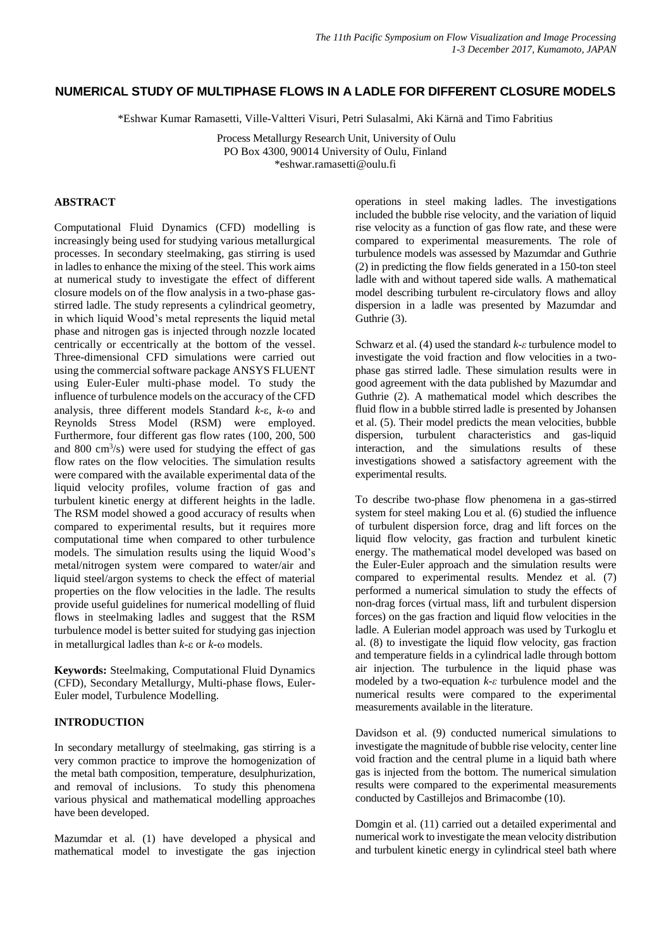# **NUMERICAL STUDY OF MULTIPHASE FLOWS IN A LADLE FOR DIFFERENT CLOSURE MODELS**

\*Eshwar Kumar Ramasetti, Ville-Valtteri Visuri, Petri Sulasalmi, Aki Kärnä and Timo Fabritius

Process Metallurgy Research Unit, University of Oulu PO Box 4300, 90014 University of Oulu, Finland \*eshwar.ramasetti@oulu.fi

## **ABSTRACT**

Computational Fluid Dynamics (CFD) modelling is increasingly being used for studying various metallurgical processes. In secondary steelmaking, gas stirring is used in ladles to enhance the mixing of the steel. This work aims at numerical study to investigate the effect of different closure models on of the flow analysis in a two-phase gasstirred ladle. The study represents a cylindrical geometry, in which liquid Wood's metal represents the liquid metal phase and nitrogen gas is injected through nozzle located centrically or eccentrically at the bottom of the vessel. Three-dimensional CFD simulations were carried out using the commercial software package ANSYS FLUENT using Euler-Euler multi-phase model. To study the influence of turbulence models on the accuracy of the CFD analysis, three different models Standard  $k$ - $\varepsilon$ ,  $k$ - $\omega$  and Reynolds Stress Model (RSM) were employed. Furthermore, four different gas flow rates (100, 200, 500 and 800 cm<sup>3</sup> /s) were used for studying the effect of gas flow rates on the flow velocities. The simulation results were compared with the available experimental data of the liquid velocity profiles, volume fraction of gas and turbulent kinetic energy at different heights in the ladle. The RSM model showed a good accuracy of results when compared to experimental results, but it requires more computational time when compared to other turbulence models. The simulation results using the liquid Wood's metal/nitrogen system were compared to water/air and liquid steel/argon systems to check the effect of material properties on the flow velocities in the ladle. The results provide useful guidelines for numerical modelling of fluid flows in steelmaking ladles and suggest that the RSM turbulence model is better suited for studying gas injection in metallurgical ladles than  $k$ - $\varepsilon$  or  $k$ - $\omega$  models.

**Keywords:** Steelmaking, Computational Fluid Dynamics (CFD), Secondary Metallurgy, Multi-phase flows, Euler-Euler model, Turbulence Modelling.

# **INTRODUCTION**

In secondary metallurgy of steelmaking, gas stirring is a very common practice to improve the homogenization of the metal bath composition, temperature, desulphurization, and removal of inclusions. To study this phenomena various physical and mathematical modelling approaches have been developed.

Mazumdar et al. (1) have developed a physical and mathematical model to investigate the gas injection operations in steel making ladles. The investigations included the bubble rise velocity, and the variation of liquid rise velocity as a function of gas flow rate, and these were compared to experimental measurements. The role of turbulence models was assessed by Mazumdar and Guthrie (2) in predicting the flow fields generated in a 150-ton steel ladle with and without tapered side walls. A mathematical model describing turbulent re-circulatory flows and alloy dispersion in a ladle was presented by Mazumdar and Guthrie (3).

Schwarz et al. (4) used the standard *k-ε* turbulence model to investigate the void fraction and flow velocities in a twophase gas stirred ladle. These simulation results were in good agreement with the data published by Mazumdar and Guthrie (2). A mathematical model which describes the fluid flow in a bubble stirred ladle is presented by Johansen et al. (5). Their model predicts the mean velocities, bubble dispersion, turbulent characteristics and gas-liquid interaction, and the simulations results of these investigations showed a satisfactory agreement with the experimental results.

To describe two-phase flow phenomena in a gas-stirred system for steel making Lou et al. (6) studied the influence of turbulent dispersion force, drag and lift forces on the liquid flow velocity, gas fraction and turbulent kinetic energy. The mathematical model developed was based on the Euler-Euler approach and the simulation results were compared to experimental results. Mendez et al. (7) performed a numerical simulation to study the effects of non-drag forces (virtual mass, lift and turbulent dispersion forces) on the gas fraction and liquid flow velocities in the ladle. A Eulerian model approach was used by Turkoglu et al. (8) to investigate the liquid flow velocity, gas fraction and temperature fields in a cylindrical ladle through bottom air injection. The turbulence in the liquid phase was modeled by a two-equation *k-ε* turbulence model and the numerical results were compared to the experimental measurements available in the literature.

Davidson et al. (9) conducted numerical simulations to investigate the magnitude of bubble rise velocity, center line void fraction and the central plume in a liquid bath where gas is injected from the bottom. The numerical simulation results were compared to the experimental measurements conducted by Castillejos and Brimacombe (10).

Domgin et al. (11) carried out a detailed experimental and numerical work to investigate the mean velocity distribution and turbulent kinetic energy in cylindrical steel bath where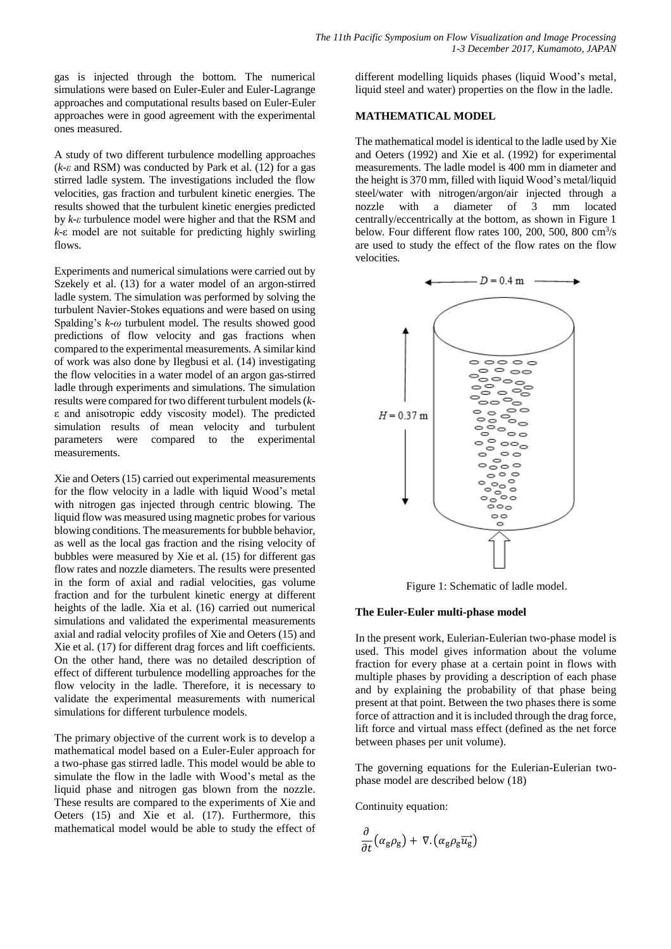gas is injected through the bottom. The numerical simulations were based on Euler-Euler and Euler-Lagrange approaches and computational results based on Euler-Euler approaches were in good agreement with the experimental ones measured.

A study of two different turbulence modelling approaches (*k-ε* and RSM) was conducted by Park et al. (12) for a gas stirred ladle system. The investigations included the flow velocities, gas fraction and turbulent kinetic energies. The results showed that the turbulent kinetic energies predicted by *k-ε* turbulence model were higher and that the RSM and *k*-ε model are not suitable for predicting highly swirling flows.

Experiments and numerical simulations were carried out by Szekely et al. (13) for a water model of an argon-stirred ladle system. The simulation was performed by solving the turbulent Navier-Stokes equations and were based on using Spalding's *k-ω* turbulent model. The results showed good predictions of flow velocity and gas fractions when compared to the experimental measurements. A similar kind of work was also done by Ilegbusi et al. (14) investigating the flow velocities in a water model of an argon gas-stirred ladle through experiments and simulations. The simulation results were compared for two different turbulent models (*k*ε and anisotropic eddy viscosity model). The predicted simulation results of mean velocity and turbulent parameters were compared to the experimental measurements.

Xie and Oeters (15) carried out experimental measurements for the flow velocity in a ladle with liquid Wood's metal with nitrogen gas injected through centric blowing. The liquid flow was measured using magnetic probes for various blowing conditions. The measurements for bubble behavior, as well as the local gas fraction and the rising velocity of bubbles were measured by Xie et al. (15) for different gas flow rates and nozzle diameters. The results were presented in the form of axial and radial velocities, gas volume fraction and for the turbulent kinetic energy at different heights of the ladle. Xia et al. (16) carried out numerical simulations and validated the experimental measurements axial and radial velocity profiles of Xie and Oeters (15) and Xie et al. (17) for different drag forces and lift coefficients. On the other hand, there was no detailed description of effect of different turbulence modelling approaches for the flow velocity in the ladle. Therefore, it is necessary to validate the experimental measurements with numerical simulations for different turbulence models.

The primary objective of the current work is to develop a mathematical model based on a Euler-Euler approach for a two-phase gas stirred ladle. This model would be able to simulate the flow in the ladle with Wood's metal as the liquid phase and nitrogen gas blown from the nozzle. These results are compared to the experiments of Xie and Oeters (15) and Xie et al. (17). Furthermore, this mathematical model would be able to study the effect of

different modelling liquids phases (liquid Wood's metal, liquid steel and water) properties on the flow in the ladle.

# **MATHEMATICAL MODEL**

The mathematical model is identical to the ladle used by Xie and Oeters (1992) and Xie et al. (1992) for experimental measurements. The ladle model is 400 mm in diameter and the height is 370 mm, filled with liquid Wood's metal/liquid steel/water with nitrogen/argon/air injected through a nozzle with a diameter of 3 mm located centrally/eccentrically at the bottom, as shown in Figure 1 below. Four different flow rates  $100, 200, 500, 800 \text{ cm}^3/\text{s}$ are used to study the effect of the flow rates on the flow velocities.



Figure 1: Schematic of ladle model.

# **The Euler-Euler multi-phase model**

In the present work, Eulerian-Eulerian two-phase model is used. This model gives information about the volume fraction for every phase at a certain point in flows with multiple phases by providing a description of each phase and by explaining the probability of that phase being present at that point. Between the two phases there is some force of attraction and it is included through the drag force, lift force and virtual mass effect (defined as the net force between phases per unit volume).

The governing equations for the Eulerian-Eulerian twophase model are described below (18)

Continuity equation:

$$
\frac{\partial}{\partial t} \left( \alpha_{\rm g} \rho_{\rm g} \right) + \nabla \left( \alpha_{\rm g} \rho_{\rm g} \overrightarrow{u_{\rm g}} \right)
$$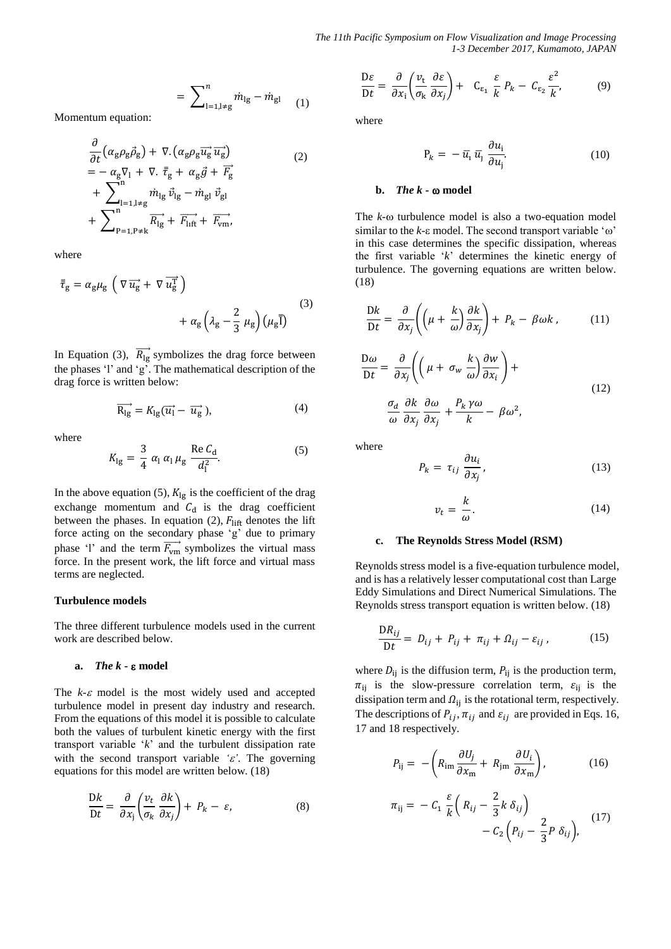*The 11th Pacific Symposium on Flow Visualization and Image Processing 1-3 December 2017, Kumamoto, JAPAN*

$$
= \sum_{l=1,l\neq g}^{n} \dot{m}_{lg} - \dot{m}_{gl} \quad (1)
$$

Momentum equation:

$$
\frac{\partial}{\partial t} \left( \alpha_g \rho_g \vec{\rho}_g \right) + \nabla \left( \alpha_g \rho_g \overrightarrow{u_g} \overrightarrow{u_g} \right) \n= -\alpha_g \nabla_1 + \nabla \cdot \overline{\overline{\tau}}_g + \alpha_g \vec{g} + \overrightarrow{F_g} \n+ \sum_{l=1, l \neq g}^{n} \dot{m}_{lg} \vec{v}_{lg} - \dot{m}_{gl} \vec{v}_{gl} \n+ \sum_{p=1, p \neq k}^{n} \overrightarrow{R_{lg}} + \overrightarrow{F_{lift}} + \overrightarrow{F_{vm}},
$$
\n(2)

where

$$
\bar{\tau}_{g} = \alpha_{g} \mu_{g} \left( \nabla \overrightarrow{u_{g}} + \nabla \overrightarrow{u_{g}^{T}} \right)
$$

$$
+ \alpha_{g} \left( \lambda_{g} - \frac{2}{3} \mu_{g} \right) \left( \mu_{g} \overline{1} \right)
$$
(3)

In Equation (3),  $\overrightarrow{R_{lg}}$  symbolizes the drag force between the phases 'l' and 'g'. The mathematical description of the drag force is written below:

$$
\overrightarrow{R_{lg}} = K_{lg}(\overrightarrow{u_l} - \overrightarrow{u_g}), \tag{4}
$$

where

$$
K_{\rm lg} = \frac{3}{4} \alpha_1 \alpha_1 \mu_{\rm g} \frac{\text{Re } C_{\rm d}}{d_1^2}.
$$
 (5)

In the above equation (5),  $K_{lg}$  is the coefficient of the drag exchange momentum and  $C_d$  is the drag coefficient between the phases. In equation (2),  $F_{\text{lift}}$  denotes the lift force acting on the secondary phase 'g' due to primary phase 'l' and the term  $\overrightarrow{F_{vm}}$  symbolizes the virtual mass force. In the present work, the lift force and virtual mass terms are neglected.

#### **Turbulence models**

The three different turbulence models used in the current work are described below.

#### **a.** *The k* **- model**

The  $k \text{-} \varepsilon$  model is the most widely used and accepted turbulence model in present day industry and research. From the equations of this model it is possible to calculate both the values of turbulent kinetic energy with the first transport variable '*k*' and the turbulent dissipation rate with the second transport variable  $\epsilon$ . The governing equations for this model are written below. (18)

$$
\frac{\mathrm{D}k}{\mathrm{D}t} = \frac{\partial}{\partial x_j} \left( \frac{v_t}{\sigma_k} \frac{\partial k}{\partial x_j} \right) + P_k - \varepsilon,\tag{8}
$$

$$
\frac{\mathrm{D}\varepsilon}{\mathrm{D}t} = \frac{\partial}{\partial x_i} \left( \frac{v_\mathrm{t}}{\sigma_\mathrm{k}} \frac{\partial \varepsilon}{\partial x_j} \right) + \quad \mathrm{C}_{\varepsilon_1} \frac{\varepsilon}{k} P_k - C_{\varepsilon_2} \frac{\varepsilon^2}{k'}, \tag{9}
$$

where

$$
P_k = -\bar{u}_1 \bar{u}_j \frac{\partial u_i}{\partial u_j}.
$$
 (10)

# **b.** *The*  $k$  **-**  $\omega$  model

The  $k$ - $\omega$  turbulence model is also a two-equation model similar to the  $k$ - $\varepsilon$  model. The second transport variable ' $\omega$ ' in this case determines the specific dissipation, whereas the first variable '*k*' determines the kinetic energy of turbulence. The governing equations are written below. (18)

$$
\frac{\mathrm{D}k}{\mathrm{D}t} = \frac{\partial}{\partial x_j} \left( \left( \mu + \frac{k}{\omega} \right) \frac{\partial k}{\partial x_j} \right) + P_k - \beta \omega k \,, \tag{11}
$$

$$
\frac{D\omega}{Dt} = \frac{\partial}{\partial x_j} \left( \left( \mu + \sigma_w \frac{k}{\omega} \right) \frac{\partial w}{\partial x_i} \right) +
$$
  

$$
\frac{\sigma_d}{\omega} \frac{\partial k}{\partial x_j} \frac{\partial \omega}{\partial x_j} + \frac{P_k \gamma \omega}{k} - \beta \omega^2,
$$
 (12)

$$
\omega \partial x_j \partial x
$$

where

$$
P_k = \tau_{ij} \frac{\partial u_i}{\partial x_j}, \qquad (13)
$$

$$
v_t = \frac{k}{\omega}.\tag{14}
$$

### **c. The Reynolds Stress Model (RSM)**

Reynolds stress model is a five-equation turbulence model, and is has a relatively lesser computational cost than Large Eddy Simulations and Direct Numerical Simulations. The Reynolds stress transport equation is written below. (18)

$$
\frac{\mathrm{D}R_{ij}}{\mathrm{D}t} = D_{ij} + P_{ij} + \pi_{ij} + \Omega_{ij} - \varepsilon_{ij}, \qquad (15)
$$

where  $D_{ij}$  is the diffusion term,  $P_{ij}$  is the production term,  $\pi_{ij}$  is the slow-pressure correlation term,  $\varepsilon_{ij}$  is the dissipation term and  $\Omega_{ij}$  is the rotational term, respectively. The descriptions of  $P_{ij}$ ,  $\pi_{ij}$  and  $\varepsilon_{ij}$  are provided in Eqs. 16, 17 and 18 respectively.

$$
P_{ij} = -\left(R_{im}\frac{\partial U_j}{\partial x_m} + R_{jm}\frac{\partial U_i}{\partial x_m}\right),\tag{16}
$$

$$
\pi_{ij} = -C_1 \frac{\varepsilon}{k} \left( R_{ij} - \frac{2}{3} k \, \delta_{ij} \right) - C_2 \left( P_{ij} - \frac{2}{3} P \, \delta_{ij} \right), \tag{17}
$$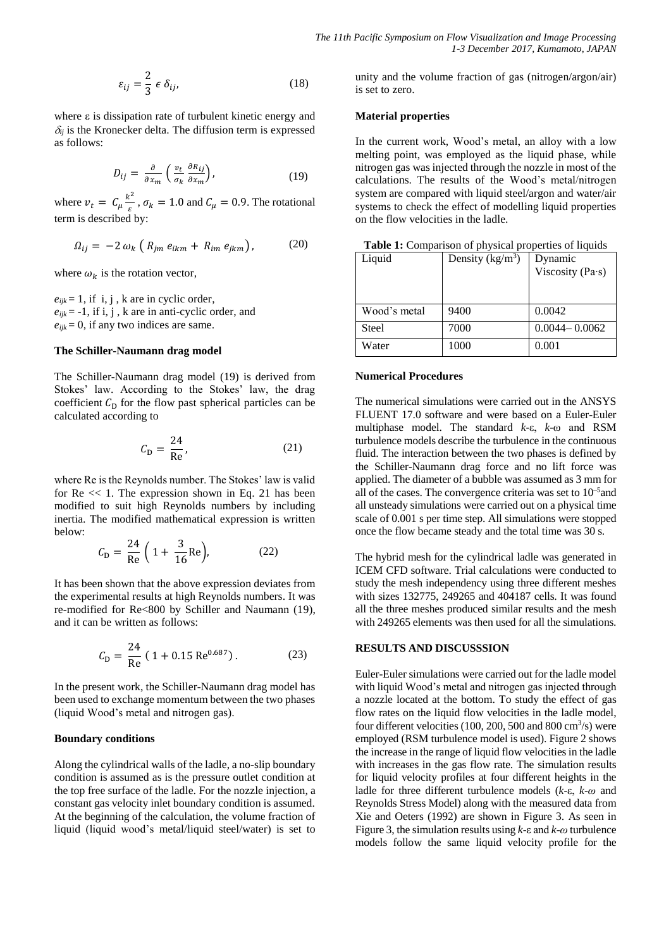$$
\varepsilon_{ij} = \frac{2}{3} \epsilon \, \delta_{ij}, \tag{18}
$$

where  $\varepsilon$  is dissipation rate of turbulent kinetic energy and  $\delta_{ij}$  is the Kronecker delta. The diffusion term is expressed as follows:

$$
D_{ij} = \frac{\partial}{\partial x_m} \left( \frac{v_t}{\sigma_k} \frac{\partial R_{ij}}{\partial x_m} \right),\tag{19}
$$

where  $v_t = C_\mu \frac{k^2}{s}$  $\frac{\sigma}{\varepsilon}$ ,  $\sigma_k = 1.0$  and  $C_\mu = 0.9$ . The rotational term is described by:

$$
\Omega_{ij} = -2 \omega_k \left( R_{jm} e_{ikm} + R_{im} e_{jkm} \right), \qquad (20)
$$

where  $\omega_k$  is the rotation vector,

 $e_{ijk} = 1$ , if i, j, k are in cyclic order,  $e_{ijk}$  = -1, if i, j, k are in anti-cyclic order, and  $e_{ijk} = 0$ , if any two indices are same.

# **The Schiller-Naumann drag model**

The Schiller-Naumann drag model (19) is derived from Stokes' law. According to the Stokes' law, the drag coefficient  $C<sub>D</sub>$  for the flow past spherical particles can be calculated according to

$$
C_{\rm D} = \frac{24}{\rm Re},\tag{21}
$$

where Re is the Reynolds number. The Stokes' law is valid for  $Re \ll 1$ . The expression shown in Eq. 21 has been modified to suit high Reynolds numbers by including inertia. The modified mathematical expression is written below:

$$
C_{\rm D} = \frac{24}{\rm Re} \left( 1 + \frac{3}{16} \rm Re \right), \tag{22}
$$

It has been shown that the above expression deviates from the experimental results at high Reynolds numbers. It was re-modified for Re<800 by Schiller and Naumann (19), and it can be written as follows:

$$
C_{\rm D} = \frac{24}{\rm Re} (1 + 0.15 \,\rm{Re}^{0.687}) \,. \tag{23}
$$

In the present work, the Schiller-Naumann drag model has been used to exchange momentum between the two phases (liquid Wood's metal and nitrogen gas).

## **Boundary conditions**

Along the cylindrical walls of the ladle, a no-slip boundary condition is assumed as is the pressure outlet condition at the top free surface of the ladle. For the nozzle injection, a constant gas velocity inlet boundary condition is assumed. At the beginning of the calculation, the volume fraction of liquid (liquid wood's metal/liquid steel/water) is set to

unity and the volume fraction of gas (nitrogen/argon/air) is set to zero.

### **Material properties**

In the current work, Wood's metal, an alloy with a low melting point, was employed as the liquid phase, while nitrogen gas was injected through the nozzle in most of the calculations. The results of the Wood's metal/nitrogen system are compared with liquid steel/argon and water/air systems to check the effect of modelling liquid properties on the flow velocities in the ladle.

| <b>Table 1:</b> Comparison of physical properties of liquids |  |  |  |
|--------------------------------------------------------------|--|--|--|
|--------------------------------------------------------------|--|--|--|

| Liquid       | Density ( $\text{kg/m}^3$ ) | Dynamic           |
|--------------|-----------------------------|-------------------|
|              |                             | Viscosity (Pa·s)  |
|              |                             |                   |
|              |                             |                   |
| Wood's metal | 9400                        | 0.0042            |
| <b>Steel</b> | 7000                        | $0.0044 - 0.0062$ |
| Water        | 1000                        | 0.001             |

#### **Numerical Procedures**

The numerical simulations were carried out in the ANSYS FLUENT 17.0 software and were based on a Euler-Euler multiphase model. The standard *k*-ε, *k*-ω and RSM turbulence models describe the turbulence in the continuous fluid. The interaction between the two phases is defined by the Schiller-Naumann drag force and no lift force was applied. The diameter of a bubble was assumed as 3 mm for all of the cases. The convergence criteria was set to  $10^{-5}$  and all unsteady simulations were carried out on a physical time scale of 0.001 s per time step. All simulations were stopped once the flow became steady and the total time was 30 s.

The hybrid mesh for the cylindrical ladle was generated in ICEM CFD software. Trial calculations were conducted to study the mesh independency using three different meshes with sizes 132775, 249265 and 404187 cells. It was found all the three meshes produced similar results and the mesh with 249265 elements was then used for all the simulations.

# **RESULTS AND DISCUSSSION**

Euler-Euler simulations were carried out for the ladle model with liquid Wood's metal and nitrogen gas injected through a nozzle located at the bottom. To study the effect of gas flow rates on the liquid flow velocities in the ladle model, four different velocities (100, 200, 500 and 800  $\text{cm}^3\text{/s}$ ) were employed (RSM turbulence model is used). Figure 2 shows the increase in the range of liquid flow velocities in the ladle with increases in the gas flow rate. The simulation results for liquid velocity profiles at four different heights in the ladle for three different turbulence models (*k*-ε, *k*-*ω* and Reynolds Stress Model) along with the measured data from Xie and Oeters (1992) are shown in Figure 3. As seen in Figure 3, the simulation results using *k*-ε and *k*-*ω* turbulence models follow the same liquid velocity profile for the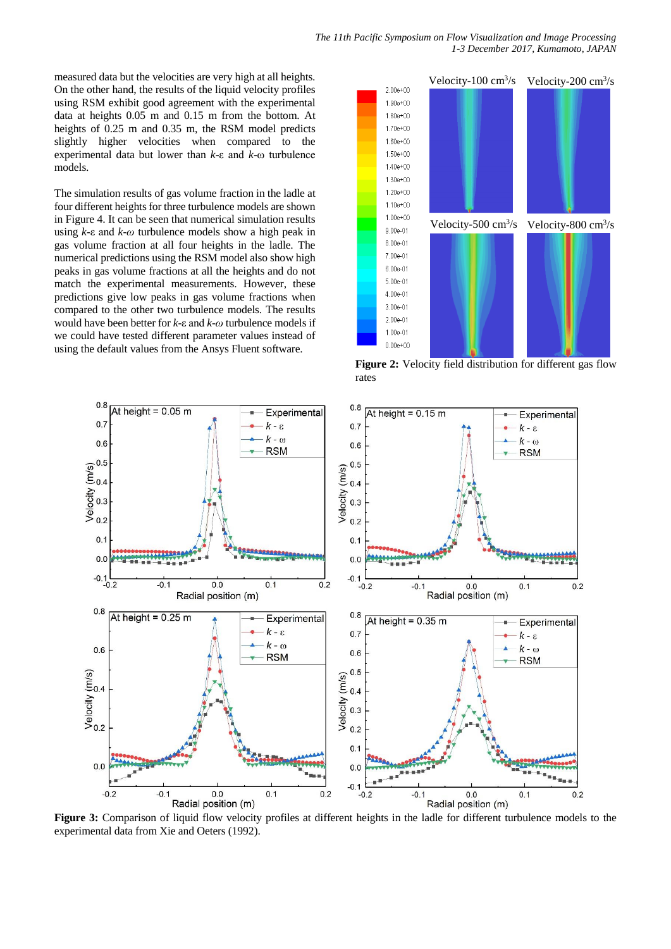measured data but the velocities are very high at all heights. On the other hand, the results of the liquid velocity profiles using RSM exhibit good agreement with the experimental data at heights 0.05 m and 0.15 m from the bottom. At heights of 0.25 m and 0.35 m, the RSM model predicts slightly higher velocities when compared to the experimental data but lower than *k*-ε and *k*-ω turbulence models.

The simulation results of gas volume fraction in the ladle at four different heights for three turbulence models are shown in Figure 4. It can be seen that numerical simulation results using *k*-ε and *k*-*ω* turbulence models show a high peak in gas volume fraction at all four heights in the ladle. The numerical predictions using the RSM model also show high peaks in gas volume fractions at all the heights and do not match the experimental measurements. However, these predictions give low peaks in gas volume fractions when compared to the other two turbulence models. The results would have been better for *k*-ε and *k*-*ω* turbulence models if we could have tested different parameter values instead of using the default values from the Ansys Fluent software.



Figure 2: Velocity field distribution for different gas flow rates



**Figure 3:** Comparison of liquid flow velocity profiles at different heights in the ladle for different turbulence models to the experimental data from Xie and Oeters (1992).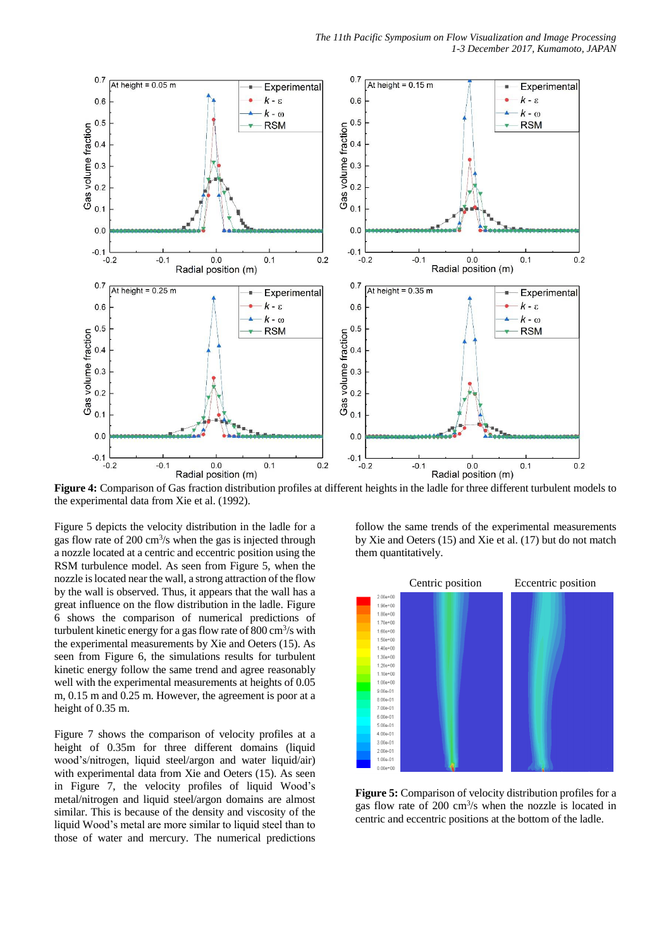

**Figure 4:** Comparison of Gas fraction distribution profiles at different heights in the ladle for three different turbulent models to the experimental data from Xie et al. (1992).

Figure 5 depicts the velocity distribution in the ladle for a gas flow rate of  $200 \text{ cm}^3/\text{s}$  when the gas is injected through a nozzle located at a centric and eccentric position using the RSM turbulence model. As seen from Figure 5, when the nozzle is located near the wall, a strong attraction of the flow by the wall is observed. Thus, it appears that the wall has a great influence on the flow distribution in the ladle. Figure 6 shows the comparison of numerical predictions of turbulent kinetic energy for a gas flow rate of  $800 \text{ cm}^3/\text{s}$  with the experimental measurements by Xie and Oeters (15). As seen from Figure 6, the simulations results for turbulent kinetic energy follow the same trend and agree reasonably well with the experimental measurements at heights of 0.05 m, 0.15 m and 0.25 m. However, the agreement is poor at a height of 0.35 m.

Figure 7 shows the comparison of velocity profiles at a height of 0.35m for three different domains (liquid wood's/nitrogen, liquid steel/argon and water liquid/air) with experimental data from Xie and Oeters (15). As seen in Figure 7, the velocity profiles of liquid Wood's metal/nitrogen and liquid steel/argon domains are almost similar. This is because of the density and viscosity of the liquid Wood's metal are more similar to liquid steel than to those of water and mercury. The numerical predictions follow the same trends of the experimental measurements by Xie and Oeters (15) and Xie et al. (17) but do not match them quantitatively.



**Figure 5:** Comparison of velocity distribution profiles for a gas flow rate of 200 cm<sup>3</sup>/s when the nozzle is located in centric and eccentric positions at the bottom of the ladle.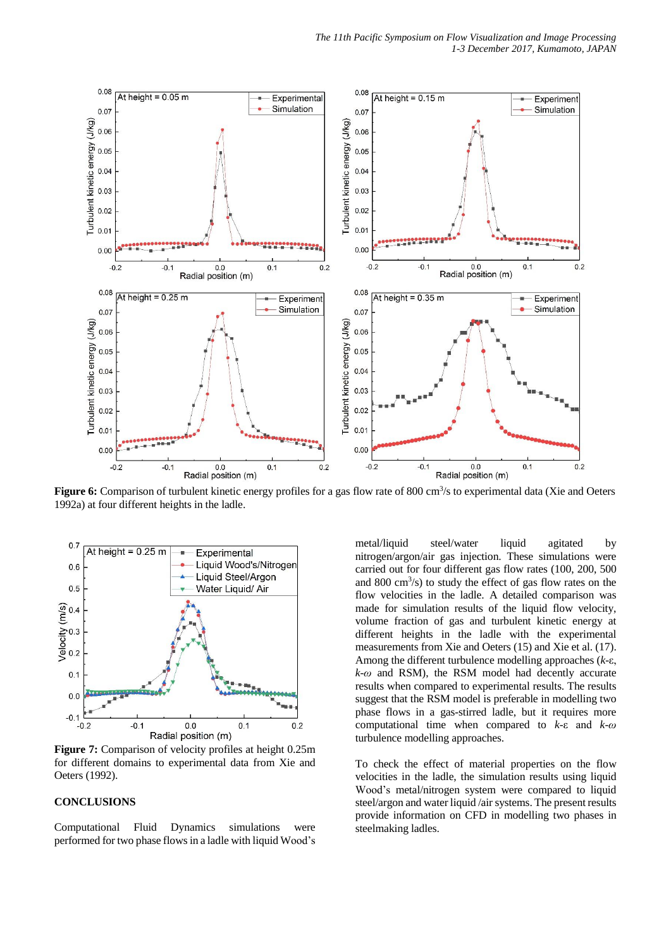

Figure 6: Comparison of turbulent kinetic energy profiles for a gas flow rate of 800 cm<sup>3</sup>/s to experimental data (Xie and Oeters 1992a) at four different heights in the ladle.



**Figure 7:** Comparison of velocity profiles at height 0.25m for different domains to experimental data from Xie and Oeters (1992).

# **CONCLUSIONS**

Computational Fluid Dynamics simulations were performed for two phase flows in a ladle with liquid Wood's

metal/liquid steel/water liquid agitated by nitrogen/argon/air gas injection. These simulations were carried out for four different gas flow rates (100, 200, 500 and 800  $\text{cm}^3\text{/s}$ ) to study the effect of gas flow rates on the flow velocities in the ladle. A detailed comparison was made for simulation results of the liquid flow velocity, volume fraction of gas and turbulent kinetic energy at different heights in the ladle with the experimental measurements from Xie and Oeters (15) and Xie et al. (17). Among the different turbulence modelling approaches (*k*-ε, *k*-*ω* and RSM), the RSM model had decently accurate results when compared to experimental results. The results suggest that the RSM model is preferable in modelling two phase flows in a gas-stirred ladle, but it requires more computational time when compared to *k*-ε and *k*-*ω* turbulence modelling approaches.

To check the effect of material properties on the flow velocities in the ladle, the simulation results using liquid Wood's metal/nitrogen system were compared to liquid steel/argon and water liquid /air systems. The present results provide information on CFD in modelling two phases in steelmaking ladles.